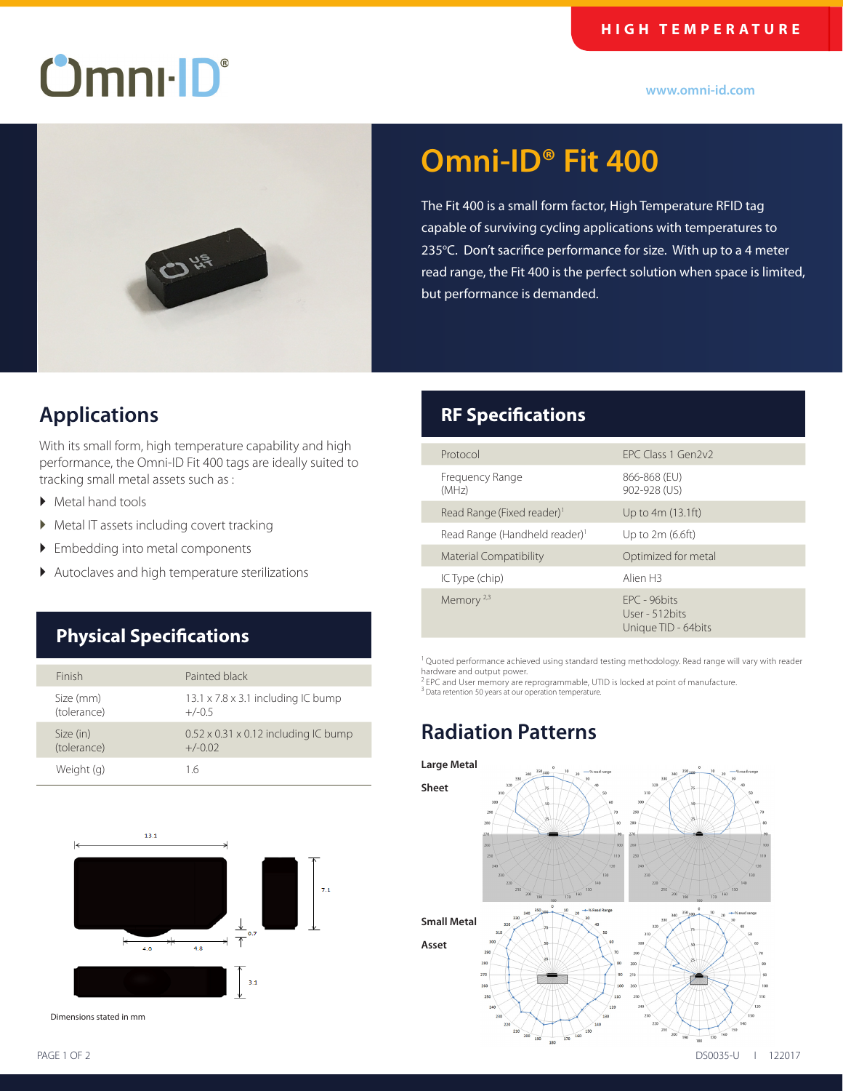#### **HIGH TEMPERATURE**

# $O$ mnı $\cdot$  $D^{\circ}$

**www.omni-id.com**



# **Omni-ID® Fit 400**

The Fit 400 is a small form factor, High Temperature RFID tag capable of surviving cycling applications with temperatures to 235°C. Don't sacrifice performance for size. With up to a 4 meter read range, the Fit 400 is the perfect solution when space is limited, but performance is demanded.

### **Applications**

With its small form, high temperature capability and high performance, the Omni-ID Fit 400 tags are ideally suited to tracking small metal assets such as :

- ▶ Metal hand tools
- � Metal IT assets including covert tracking
- � Embedding into metal components
- � Autoclaves and high temperature sterilizations

### **Physical Specifications**

| Finish                   | Painted black                                                 |
|--------------------------|---------------------------------------------------------------|
| Size (mm)<br>(tolerance) | $13.1 \times 7.8 \times 3.1$ including IC bump<br>$+/-0.5$    |
| Size (in)<br>(tolerance) | $0.52 \times 0.31 \times 0.12$ including IC bump<br>$+/-0.02$ |
| Weight (g)               | 16                                                            |



Dimensions stated in mm

# **RF Specifications**

| Protocol                                  | FPC Class 1 Gen2v2                                     |
|-------------------------------------------|--------------------------------------------------------|
| Frequency Range<br>(MHz)                  | 866-868 (EU)<br>902-928 (US)                           |
| Read Range (Fixed reader) <sup>1</sup>    | Up to 4m (13.1ft)                                      |
| Read Range (Handheld reader) <sup>1</sup> | Up to $2m(6.6ft)$                                      |
| <b>Material Compatibility</b>             | Optimized for metal                                    |
| IC Type (chip)                            | Alien <sub>H3</sub>                                    |
| Memory <sup>2,3</sup>                     | FPC - 96bits<br>User - 512 bits<br>Unique TID - 64bits |

<sup>1</sup> Quoted performance achieved using standard testing methodology. Read range will vary with reader hardware and output power.

 $^{2}$  EPC and User memory are reprogrammable, UTID is locked at point of manufacture. 3 Data retention 50 years at our operation temperature.

## **Radiation Patterns**



i